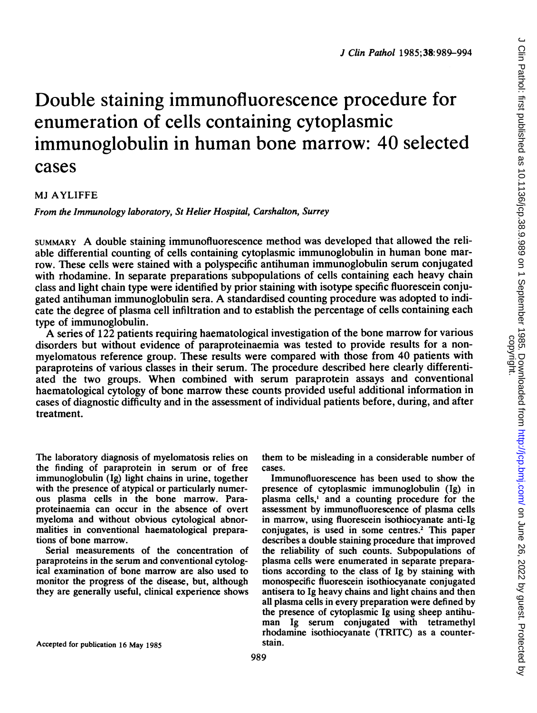# Double staining immunofluorescence procedure for enumeration of cells containing cytoplasmic immunoglobulin in human bone marrow: 40 selected cases

#### MJ AYLIFFE

From the Immunology laboratory, St Helier Hospital, Carshalton, Surrey

SUMMARY A double staining immunofluorescence method was developed that allowed the reliable differential counting of cells containing cytoplasmic immunoglobulin in human bone marrow. These cells were stained with a polyspecific antihuman immunoglobulin serum conjugated with rhodamine. In separate preparations subpopulations of cells containing each heavy chain class and light chain type were identified by prior staining with isotype specific fluorescein conjugated antihuman immunoglobulin sera. A standardised counting procedure was adopted to indicate the degree of plasma cell infiltration and to establish the percentage of cells containing each type of immunoglobulin.

A series of <sup>122</sup> patients requiring haematological investigation of the bone marrow for various disorders but without evidence of paraproteinaemia was tested to provide results for a nonmyelomatous reference group. These results were compared with those from 40 patients with paraproteins of various classes in their serum. The procedure described here clearly differentiated the two groups. When combined with serum paraprotein assays and conventional haematological cytology of bone marrow these counts provided useful additional information in cases of diagnostic difficulty and in the assessment of individual patients before, during, and after treatment.

The laboratory diagnosis of myelomatosis relies on the finding of paraprotein in serum or of free immunoglobulin (Ig) light chains in urine, together with the presence of atypical or particularly numerous plasma cells in the bone marrow. Paraproteinaemia can occur in the absence of overt myeloma and without obvious cytological abnormalities in conventional haematological preparations of bone marrow.

Serial measurements of the concentration of paraproteins in the serum and conventional cytological examination of bone marrow are also used to monitor the progress of the disease, but, although they are generally useful, clinical experience shows them to be misleading in a considerable number of cases.

Immunofluorescence has been used to show the presence of cytoplasmic immunoglobulin (Ig) in plasma cells,' and a counting procedure for the assessment by immunofluorescence of plasma cells in marrow, using fluorescein isothiocyanate anti-Ig conjugates, is used in some centres.2 This paper describes a double staining procedure that improved the reliability of such counts. Subpopulations of plasma cells were enumerated in separate preparations according to the class of Ig by staining with monospecific fluorescein isothiocyanate conjugated antisera to Ig heavy chains and light chains and then all plasma cells in every preparation were defined by the presence of cytoplasmic Ig using sheep antihuman Ig serum conjugated with tetramethyl rhodamine isothiocyanate (TRITC) as a counterstain.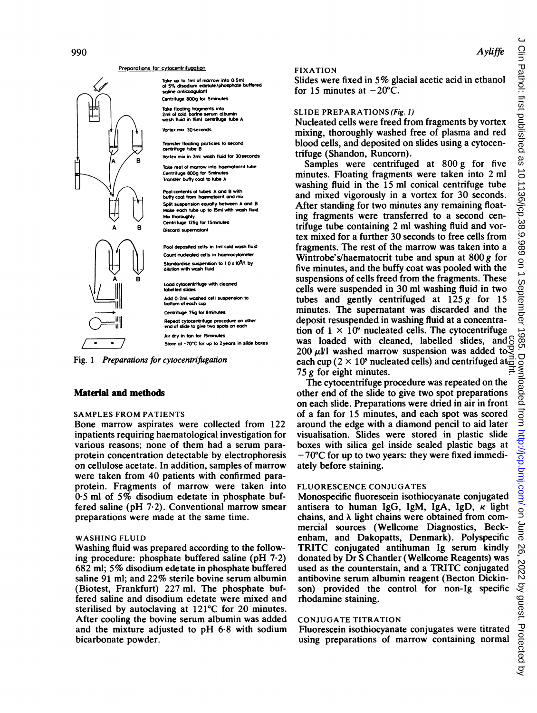FIXATION

Nucleated cells were freed from fragments by vortex mixing, thoroughly washed free of plasma and red blood cells, and deposited on slides using a cytocentrifuge (Shandon, Runcorn).

Samples were centrifuged at 800 g for five minutes. Floating fragments were taken into 2 ml washing fluid in the 15 ml conical centrifuge tube and mixed vigorously in a vortex for 30 seconds. After standing for two minutes any remaining floating fragments were transferred to a second centrifuge tube containing 2 ml washing fluid and vortex mixed for a further 30 seconds to free cells from fragments. The rest of the marrow was taken into a Wintrobe's/haematocrit tube and spun at  $800 g$  for five minutes, and the buffy coat was pooled with the suspensions of cells freed from the fragments. These cells were suspended in 30 ml washing fluid in two tubes and gently centrifuged at  $125 g$  for 15 minutes. The supematant was discarded and the deposit resuspended in washing fluid at a concentration of  $1 \times 10^9$  nucleated cells. The cytocentrifuge was loaded with cleaned, labelled slides, and  $\beta$ 200  $\mu$ VI washed marrow suspension was added to  $\overline{S}$ each cup ( $2 \times 10^5$  nucleated cells) and centrifuged at  $\frac{3}{5}$ 75  $g$  for eight minutes.

The cytocentrifuge procedure was repeated on the other end of the slide to give two spot preparations on each slide. Preparations were dried in air in front of a fan for 15 minutes, and each spot was scored around the edge with a diamond pencil to aid later visualisation. Slides were stored in plastic slide boxes with silica gel inside sealed plastic bags at - 70°C for up to two years: they were fixed immediately before staining.

# FLUORESCENCE CONJUGATES

Monospecific fluorescein isothiocyanate conjugated antisera to human IgG, IgM, IgA, IgD,  $\kappa$  light chains, and  $\lambda$  light chains were obtained from commercial sources (Wellcome Diagnostics, Beckenham, and Dakopatts, Denmark). Polyspecific TRITC conjugated antihuman Ig serum kindly donated by Dr S Chantler (Wellcome Reagents) was used as the counterstain, and <sup>a</sup> TRITC conjugated antibovine serum albumin reagent (Becton Dickinson) provided the control for non-Ig specific rhodamine staining. was loaded with cleaned, labelled slides, and  $\frac{2000 \text{ }\mu\text{U}}{M}$  washed marrow suspension was added to  $\frac{200 \text{ }\mu\text{U}}{M}$  washed marrow suspension was added to  $\frac{25}{55}$  for eight minutes.<br>The cytocentrifuge proce

# CONJUGATE TITRATION

Fluorescein isothiocyanate conjugates were titrated

#### Preparations for cytocentrifugation

Take up to 1ml of marrow into 0 5ml<br>of 5% disodium edetate/phosphate buffered soline anticoagulant Centrifuge S80g for 5minutes

|<br>| Take floating fragments into<br>| wash fluid in 15ml centrituge tube A<br>| wash fluid in 15ml centrituge tube A

Vortex mix 30seconds

Transfer floating particles to second<br>centrifuge tube B Vortex mix in 2ml wash fluid for 30 seconds

Take rest of marrow into haematocrit tube Vortex mix in 2ml wash fluid<br>B<br>Take rest of marrow into have<br>Centrifuge 800g for Sminutes<br>Transfer buffy coat to tube A Transfer buffy coat to tube A

> Pool contents of tubes A and B with<br>\\, buffy coat from haematocrit and mix\ Split suspension equally between A and B Make eoch tube up to 15ml with wash ftuid Mix thoroughly Centrifuge 125g for 15 minutes Discord supernatant

Pool deposited cells in 1ml cold wash fluid<br>Count nucleated cells in haemocytometer  $\begin{array}{ccc} \begin{bmatrix} 1 & 0 \end{bmatrix} & \begin{bmatrix} \begin{bmatrix} 1 & 0 \end{bmatrix} & \begin{bmatrix} 2 & 0 \end{bmatrix} & \begin{bmatrix} 3 & 0 \end{bmatrix} & \begin{bmatrix} 3 & 0 \end{bmatrix} & \begin{bmatrix} 4 & 0 \end{bmatrix} & \begin{bmatrix} 5 & 0 \end{bmatrix} & \begin{bmatrix} 6 & 0 \end{bmatrix} & \begin{bmatrix} 6 & 0 \end{bmatrix} & \begin{bmatrix} 6 & 0 \end{bmatrix} & \begin{bmatrix} 6 & 0 \end{bmatrix} & \begin{bmatrix} 6 &$ 

> Lood cytocentrifuge with cleaned Add 0.2ml washed cell suspen of each cup Centrifuge 75g for Sminutes Repeot cytocentrifuge procedue on other end of slde to give two spots on each Air dry in fan for ISminutes Store at -70°C for up to 2years in slide boxes

Fig. 1 Preparations for cytocentrifugation

## Material and methods

#### SAMPLES FROM PATIENTS

Bone marrow aspirates were collected from 122 inpatients requiring haematological investigation for various reasons; none of them had a serum paraprotein concentration detectable by electrophoresis on cellulose acetate. In addition, samples of marrow were taken from 40 patients with confirmed paraprotein. Fragments of marrow were taken into 0 <sup>5</sup> ml of 5% disodium edetate in phosphate buffered saline ( $pH$  7 $\cdot$ 2). Conventional marrow smear preparations were made at the same time.

## WASHING FLUID

Washing fluid was prepared according to the following procedure: phosphate buffered saline (pH 7.2) 682 ml; 5% disodium edetate in phosphate buffered saline 91 ml; and 22% sterile bovine serum albumin (Biotest, Frankfurt) 227 ml. The phosphate buffered saline and disodium edetate were mixed and sterilised by autoclaving at 121°C for 20 minutes. After cooling the bovine serum albumin was added and the mixture adjusted to  $pH$  6.8 with sodium bicarbonate powder.

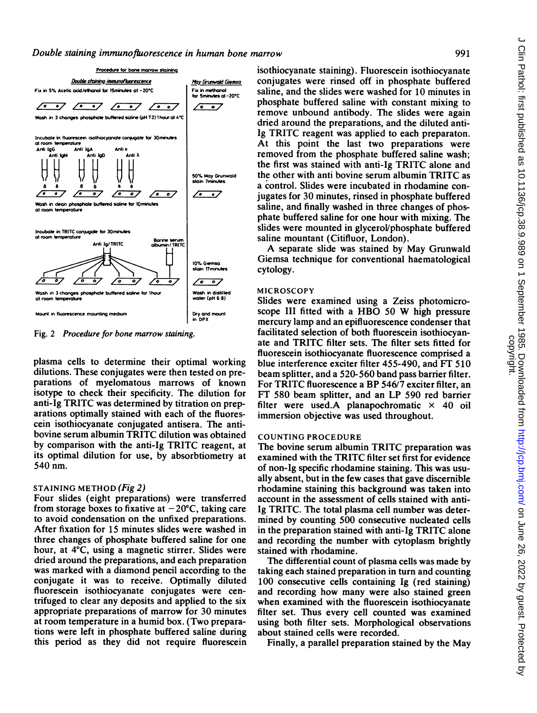

Fig. 2 Procedure for bone marrow staining.

plasma cells to determine their optimal working dilutions. These conjugates were then tested on preparations of myelomatous marrows of known isotype to check their specificity. The dilution for anti-Ig TRITC was determined by titration on preparations optimally stained with each of the fluorescein isothiocyanate conjugated antisera. The antibovine serum albumin TRITC dilution was obtained by comparison with the anti-Ig TRITC reagent, at its optimal dilution for use, by absorbtiometry at 540 nm.

## STAINING METHOD (Fig 2)

Four slides (eight preparations) were transferred from storage boxes to fixative at  $-20^{\circ}$ C, taking care to avoid condensation on the unfixed preparations. After fixation for 15 minutes slides were washed in three changes of phosphate buffered saline for one hour, at 4°C, using a magnetic stirrer. Slides were dried around the preparations, and each preparation was marked with a diamond pencil according to the conjugate it was to receive. Optimally diluted fluorescein isothiocyanate conjugates were centrifuged to clear any deposits and applied to the six appropriate preparations of marrow for 30 minutes at room temperature in a humid box. (Two preparations were left in phosphate buffered saline during this period as they did not require fluorescein

isothiocyanate staining). Fluorescein isothiocyanate  $x_0$   $\frac{M_{\text{UV}}\text{G}v_{\text{C}}\text{W}}{m_{\text{UV}}\text{G}m_{\text{C}}}}$  conjugates were rinsed off in phosphate buffered<br>Fix in methods of -20.000 saline, and the slides were washed for 10 minutes in saline, and the slides were washed for 10 minutes in phosphate buffered saline with constant mixing to remove unbound antibody. The slides were again dried around the preparations, and the diluted anti-Ig TRITC reagent was applied to each preparaton. At this point the last two preparations were removed from the phosphate buffered saline wash; the first was stained with anti-Ig TRITC alone and<br>the other with anti bovine serum albumin TRITC as 50% May Grunwald the other with anti bovine serum albumin TRITC as<br>stain 7mmates<br>a control. Slides were incubated in rhodamine con-<br> $\sqrt{2\pi}$  invates for 30 minutes rineed in phosphate buffared jugates for 30 minutes, rinsed in phosphate buffered saline, and finally washed in three changes of phosphate buffered saline for one hour with mixing. The slides were mounted in glycerol/phosphate buffered saline mountant (Citifluor, London).

A separate slide was stained by May Grunwald 10% Giemsa Giemsa technique for conventional haematological stain 17 minutes cytology cytology.

#### MICROSCOPY

Slides were examined using a Zeiss photomicroscope III fitted with <sup>a</sup> HBO <sup>50</sup> W high pressure mercury lamp and an epifluorescence condenser that facilitated selection of both fluorescein isothiocyanate and TRITC filter sets. The filter sets fitted for fluorescein isothiocyanate fluorescence comprised a blue interference exciter filter 455-490, and FT 510 beam splitter, and a 520-560 band pass barrier filter. For TRITC fluorescence <sup>a</sup> BP 546/7 exciter filter, an FT 580 beam splitter, and an LP 590 red barrier filter were used.A planapochromatic  $\times$  40 oil immersion objective was used throughout.

#### COUNTING PROCEDURE

The bovine serum albumin TRITC preparation was examined with the TRITC filter set first for evidence of non-Ig specific rhodamine staining. This was usually absent, but in the few cases that gave discernible rhodamine staining this background was taken into account in the assessment of cells stained with anti-Ig TRITC. The total plasma cell number was determined by counting 500 consecutive nucleated cells in the preparation stained with anti-Ig TRITC alone and recording the number with cytoplasm brightly stained with rhodamine.

The differential count of plasma cells was made by taking each stained preparation in turn and counting 100 consecutive cells containing Ig (red staining) and recording how many were also stained green when examined with the fluorescein isothiocyanate filter set. Thus every cell counted was examined using both filter sets. Morphological observations about stained cells were recorded.

Finally, <sup>a</sup> parallel preparation stained by the May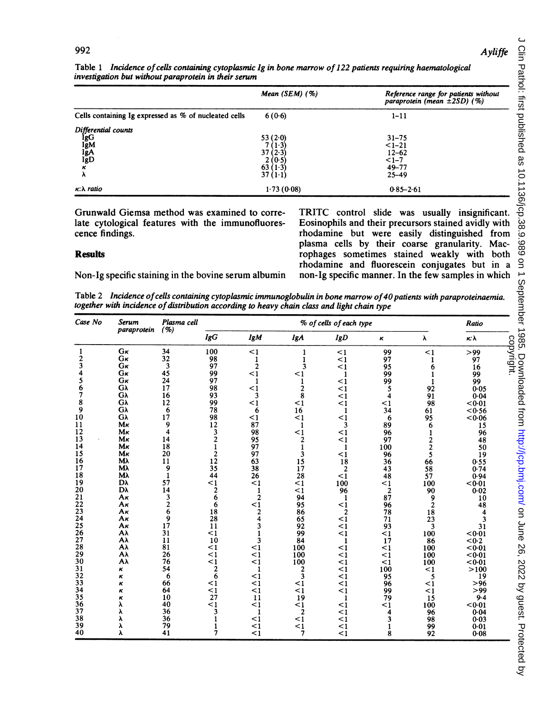#### **Ayliffe**

|                                                           | Mean $(SEM)$ (%)                                             | Reference range for patients without<br>paraprotein (mean ±2SD) (%) |
|-----------------------------------------------------------|--------------------------------------------------------------|---------------------------------------------------------------------|
| Cells containing Ig expressed as % of nucleated cells     | 6(0.6)                                                       | $1 - 11$                                                            |
| Differential counts<br>IgG<br>IgM<br>IgA<br>IgD<br>κ<br>λ | 53(2.0)<br>7(1.3)<br>37(2.3)<br>2(0.5)<br>63(1.3)<br>37(1.1) | $31 - 75$<br>$1 - 21$<br>$12 - 62$<br>$<1-7$<br>49-77<br>$25 - 49$  |
| $\kappa$ : $\lambda$ ratio                                | 1.73(0.08)                                                   | $0.85 - 2.61$                                                       |

Table 1 Incidence of cells containing cytoplasmic Ig in bone marrow of 122 patients requiring haematological investigaton but without paraprotein in their serum

Grunwald Giemsa method was examined to correlate cytological features with the immunofluorescence findings.

#### **Results**

Non-Ig specific staining in the bovine serum albumin

TRITC control slide was usually insignificant. Eosinophils and their precursors stained avidly with rhodamine but were easily distinguished from plasma cells by their coarse granularity. Macrophages sometimes stained weakly with both rhodamine and fluorescein conjugates but in a non-Ig specific manner. In the few samples in which

Table 2 Incidence ofcells containing cytoplasmic immunoglobulin in bone marrow of4O patients with paraproteinaemia. together with incidence of distribution according to heavy chain class and light chain type

| Case No | <b>Serum</b><br>paraprotein | Plasma cell<br>( %)     | % of cells of each type |                         |                |                |                | Ratio          |          |           |
|---------|-----------------------------|-------------------------|-------------------------|-------------------------|----------------|----------------|----------------|----------------|----------|-----------|
|         |                             |                         | lgG                     | <b>IgM</b>              | <b>IgA</b>     | lgD            | $\pmb{\kappa}$ | λ              | κλ       |           |
| 1       | Gĸ                          | 34                      | 100                     | $\leq$ 1                |                | $\leq$ 1       | 99             | <1             | >99      | copyright |
| 2       | Gĸ                          | 32                      | 98                      | 1                       |                | $\leq$ 1       | 97             | 1              | 97       |           |
| 3       | Gĸ                          | 3                       | 97                      | $\overline{2}$          | 3              | $\leq$ 1       | 95             | 6              | 16       |           |
|         | Gĸ                          | 45                      | 99                      | $\leq$ 1                | $\leq$ 1       | $\mathbf{1}$   | 99             | 1              | 99       |           |
|         | Gĸ                          | 24                      | 97                      | 1                       | 1              | $\leq$ 1       | 99             | 1              | 99       |           |
| 6       | Gλ                          | 17                      | 98                      | $\leq$ 1                | $\overline{2}$ | $\leq$ 1       | 5              | 92             | 0.05     |           |
|         | Gλ                          | 16                      | 93                      | 3                       | 8              | $\leq$ 1       | 4              | 91             | $0 - 04$ |           |
| 8       | Gλ                          | 12                      | 99                      | $\leq$ 1                | $\leq$ 1       | $\leq$ 1       | $\leq$ 1       | 98             | < 0.01   |           |
| 9       | Gλ                          | 6                       | 78                      | 6                       | 16             | 1              | 34             | 61             | < 0.56   |           |
| 10      | Gλ                          | 17                      | 98                      | $\leq$ 1                | $\leq$ 1       | <1             | 6              | 95             | < 0.06   |           |
| 11      | Mĸ                          | 9                       | 12                      | 87                      | 1              | 3              | 89             | 6              |          |           |
| 12      | Mĸ                          | $\overline{\mathbf{4}}$ | 3                       | 98                      |                |                |                |                | 15       |           |
| 13      | Mκ                          | 14                      | $\overline{c}$          |                         | $\leq$ 1       | <1             | 96             |                | 96       |           |
|         | Mĸ                          |                         |                         | 95                      | 2              | <1             | 97             | 2              | 48       |           |
| 14      |                             | 18                      |                         | 97                      | 1              | 1              | 100            | $\overline{c}$ | 50       |           |
| 15      | Mκ                          | 20                      | $\overline{c}$          | 97                      | 3              | $\leq$ 1       | 96             | 5              | 19       |           |
| 16      | Mλ                          | 11                      | 12                      | 63                      | 15             | 18             | 36             | 66             | 0.55     |           |
| 17      | Мλ                          | 9                       | 35                      | 38                      | 17             | $\overline{2}$ | 43             | 58             | 0.74     |           |
| 18      | Mλ                          | $\mathbf{1}$            | 44                      | 26                      | 28             | $\leq$ 1       | 48             | 57             | 0.94     |           |
| 19      | Dλ                          | 57                      | $\leq$ 1                | $\leq$ 1                | $\leq$ 1       | 100            | $\leq$ 1       | 100            | < 0.01   |           |
| 20      | Dλ                          | 14                      | $\frac{2}{6}$           | 1                       | $\leq$ 1       | 96             | $\overline{2}$ | 90             | 0.02     |           |
| 21      | Aκ                          | 3                       |                         | 2                       | 94             | $\mathbf{1}$   | 87             | 9              | 10       |           |
| 22      | Aκ                          | $\overline{c}$          | 6                       | $\leq$ 1                | 95             | $\leq$ 1       | 96             | $\overline{2}$ | 48       |           |
| 23      | Aκ                          | 6                       | 18                      | 2                       | 86             | $\overline{c}$ | 78             | 18             |          |           |
| 24      | Aκ                          | 9                       | 28                      | $\overline{\mathbf{4}}$ | 65             | $\leq$ 1       | 71             | 23             |          |           |
| 25      | Aκ                          | 17                      | 11                      | 3                       | 92             | $\leq$ 1       | 93             | 3              | 31       |           |
| 26      | Aλ                          | 31                      | $\leq$ 1                |                         | 99             | $\leq$ 1       | $\leq$ 1       | 100            | < 0.01   |           |
| 27      | Αλ                          | 11                      | 10                      | 3                       | 84             | 1              | 17             | 86             | < 0.2    |           |
| 28      | Αλ                          | 81                      | <1                      | $\leq$ 1                | 100            | $\leq$ 1       | $\leq$ 1       | 100            | < 0.01   |           |
| 29      | Αλ                          | 26                      | $\leq$ 1                | $\leq$ 1                | 100            | $\leq$ 1       | <1             | 100            | < 0.01   |           |
| 30      | Αλ                          | 76                      | $\leq$ 1                | $\leq$ 1                | 100            | <1             | <1             | 100            | < 0.01   |           |
| 31      | κ                           | 54                      | $\overline{2}$          | 1                       | 2              | $\leq$ 1       | 100            | <1             | >100     |           |
| 32      | κ                           | 6                       | 6                       | $\leq$ 1                | 3              | $\leq$ 1       | 95             | 5              | 19       |           |
| 33      | к                           | 66                      | <1                      | $\leq$ 1                | $\leq$ 1       | $\leq$ 1       | 96             | $\leq$ 1       | $>96$    |           |
| 34      | κ                           | 64                      | <1                      | $\leq$ 1                | <1             | $\leq$ 1       | 99             | $\leq$ 1       | >99      |           |
| 35      | ĸ                           | 10                      | 27                      | 11                      | 19             | 1              | 79             | 15             | 9.4      |           |
| 36      | λ                           | 40                      | $\leq$ 1                | $\leq$ 1                | <1             | $\leq$ 1       | $<$ 1          | 100            | < 0.01   |           |
| 37      | λ                           | 36                      | 3                       | 1                       | $\overline{2}$ | <1             | 4              | 96             | 0.04     |           |
| 38      |                             | 36                      |                         | $\leq$ 1                | $\leq$ 1       | $\leq$ 1       |                | 98             | 0.03     |           |
| 39      | λ                           | 79                      |                         | $\leq$ 1                | $\leq$ 1       | $\leq$ 1       |                | 99             | 0.01     |           |
| 40      | λ                           | 41                      | 7                       | $\leq$ 1                | 7              | $\leq$ 1       | 8              | 92             | $0 - 08$ |           |
|         |                             |                         |                         |                         |                |                |                |                |          |           |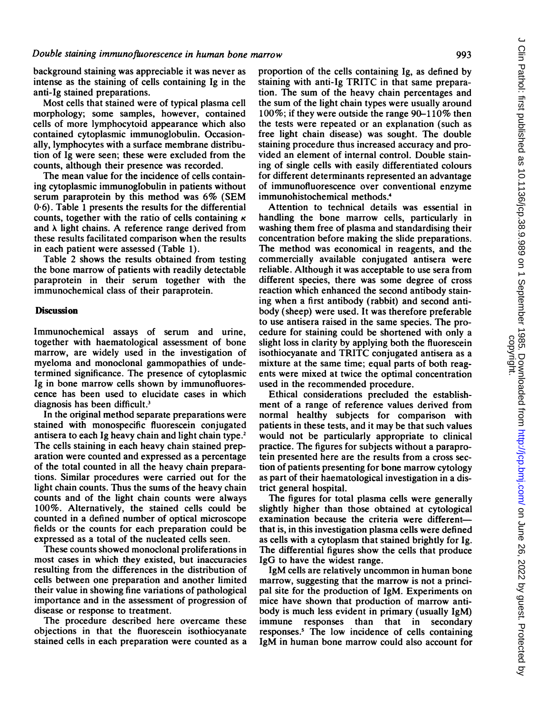background staining was appreciable it was never as intense as the staining of cells containing Ig in the anti-Ig stained preparations.

Most cells that stained were of typical plasma cell morphology; some samples, however, contained cells of more lymphocytoid appearance which also contained cytoplasmic immunoglobulin. Occasionally, lymphocytes with a surface membrane distribution of Ig were seen; these were excluded from the counts, although their presence was recorded.

The mean value for the incidence of cells containing cytoplasmic immunogiobulin in patients without serum paraprotein by this method was 6% (SEM 0.6). Table <sup>1</sup> presents the results for the differential counts, together with the ratio of cells containing  $\kappa$ and  $\lambda$  light chains. A reference range derived from these results facilitated comparison when the results in each patient were assessed (Table 1).

Table 2 shows the results obtained from testing the bone marrow of patients with readily detectable paraprotein in their serum together with the immunochemical class of their paraprotein.

## **Discussion**

Immunochemical assays of serum and urine, together with haematological assessment of bone marrow, are widely used in the investigation of myeloma and monoclonal gammopathies of undetermined significance. The presence of cytoplasmic Ig in bone marrow cells shown by immunofluorescence has been used to elucidate cases in which diagnosis has been difficult.<sup>3</sup>

In the original method separate preparations were stained with monospecific fluorescein conjugated antisera to each Ig heavy chain and light chain type.2 The cells staining in each heavy chain stained preparation were counted and expressed as a percentage of the total counted in all the heavy chain preparations. Similar procedures were carried out for the light chain counts. Thus the sums of the heavy chain counts and of the light chain counts were always 100%. Alternatively, the stained cells could be counted in a defined number of optical microscope fields or the counts for each preparation could be expressed as a total of the nucleated cells seen.

These counts showed monoclonal proliferations in most cases in which they existed, but inaccuracies resulting from the differences in the distribution of cells between one preparation and another limited their value in showing fine variations of pathological importance and in the assessment of progression of disease or response to treatment.

The procedure described here overcame these objections in that the fluorescein isothiocyanate stained cells in each preparation were counted as a proportion of the cells containing Ig, as defined by staining with anti-Ig TRITC in that same preparation. The sum of the heavy chain percentages and the sum of the light chain types were usually around 100%; if they were outside the range 90-110% then the tests were repeated or an explanation (such as free light chain disease) was sought. The double staining procedure thus increased accuracy and provided an element of internal control. Double staining of single cells with easily differentiated colours for different determinants represented an advantage of immunofluorescence over conventional enzyme immunohistochemical methods.4

Attention to technical details was essential in handling the bone marrow cells, particularly in washing them free of plasma and standardising their concentration before making the slide preparations. The method was economical in reagents, and the commercially available conjugated antisera were reliable. Although it was acceptable to use sera from different species, there was some degree of cross reaction which enhanced the second antibody staining when a first antibody (rabbit) and second antibody (sheep) were used. It was therefore preferable to use antisera raised in the same species. The procedure for staining could be shortened with only a slight loss in clarity by applying both the fluorescein isothiocyanate and TRITC conjugated antisera as <sup>a</sup> mixture at the same time; equal parts of both reagents were mixed at twice the optimal concentration used in the recommended procedure.

Ethical considerations precluded the establishment of a range of reference values derived from normal healthy subjects for comparison with patients in these tests, and it may be that such values would not be particularly appropriate to clinical practice. The figures for subjects without a paraprotein presented here are the results from a cross section of patients presenting for bone marrow cytology as part of their haematological investigation in a district general hospital.

The figures for total plasma cells were generally slightly higher than those obtained at cytological examination because the criteria were differentthat is, in this investigation plasma cells were defined as cells with a cytoplasm that stained brightly for Ig. The differential figures show the cells that produce IgG to have the widest range.

IgM cells are relatively uncommon in human bone marrow, suggesting that the marrow is not a principal site for the production of IgM. Experiments on mice have shown that production of marrow antibody is much less evident in primary (usually IgM) immune responses than that in secondary responses.5 The low incidence of cells containing IgM in human bone marrow could also account for